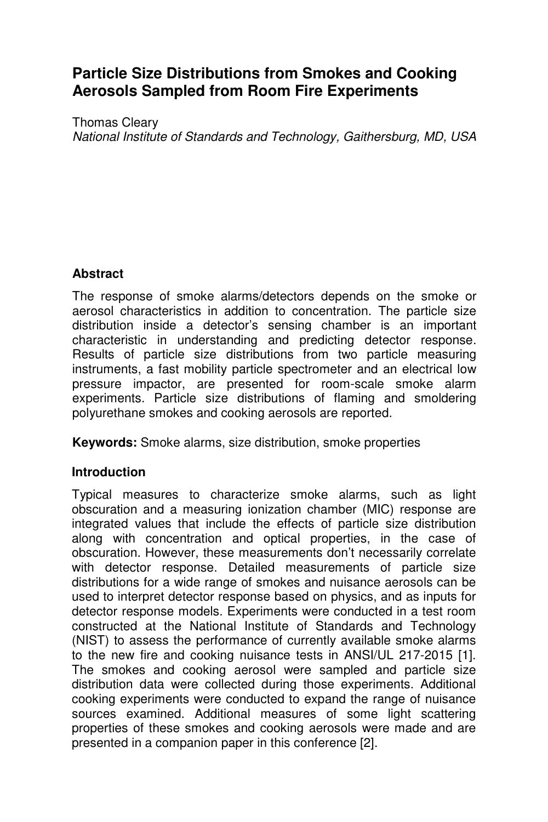# **Particle Size Distributions from Smokes and Cooking Aerosols Sampled from Room Fire Experiments**

Thomas Cleary National Institute of Standards and Technology, Gaithersburg, MD, USA

## **Abstract**

The response of smoke alarms/detectors depends on the smoke or aerosol characteristics in addition to concentration. The particle size distribution inside a detector's sensing chamber is an important characteristic in understanding and predicting detector response. Results of particle size distributions from two particle measuring instruments, a fast mobility particle spectrometer and an electrical low pressure impactor, are presented for room-scale smoke alarm experiments. Particle size distributions of flaming and smoldering polyurethane smokes and cooking aerosols are reported.

**Keywords:** Smoke alarms, size distribution, smoke properties

#### **Introduction**

Typical measures to characterize smoke alarms, such as light obscuration and a measuring ionization chamber (MIC) response are integrated values that include the effects of particle size distribution along with concentration and optical properties, in the case of obscuration. However, these measurements don't necessarily correlate with detector response. Detailed measurements of particle size distributions for a wide range of smokes and nuisance aerosols can be used to interpret detector response based on physics, and as inputs for detector response models. Experiments were conducted in a test room constructed at the National Institute of Standards and Technology (NIST) to assess the performance of currently available smoke alarms to the new fire and cooking nuisance tests in ANSI/UL 217-2015 [1]. The smokes and cooking aerosol were sampled and particle size distribution data were collected during those experiments. Additional cooking experiments were conducted to expand the range of nuisance sources examined. Additional measures of some light scattering properties of these smokes and cooking aerosols were made and are presented in a companion paper in this conference [2].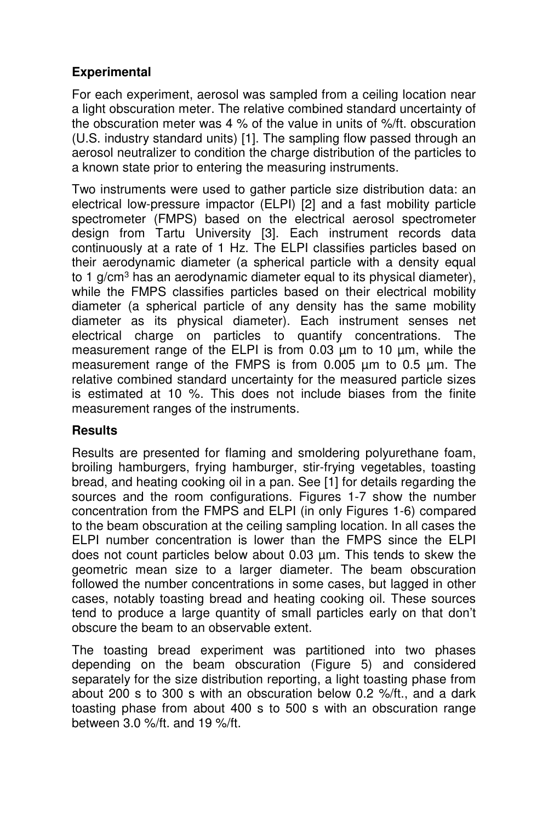# **Experimental**

For each experiment, aerosol was sampled from a ceiling location near a light obscuration meter. The relative combined standard uncertainty of the obscuration meter was 4 % of the value in units of %/ft. obscuration (U.S. industry standard units) [1]. The sampling flow passed through an aerosol neutralizer to condition the charge distribution of the particles to a known state prior to entering the measuring instruments.

Two instruments were used to gather particle size distribution data: an electrical low-pressure impactor (ELPI) [2] and a fast mobility particle spectrometer (FMPS) based on the electrical aerosol spectrometer design from Tartu University [3]. Each instrument records data continuously at a rate of 1 Hz. The ELPI classifies particles based on their aerodynamic diameter (a spherical particle with a density equal to 1 g/cm<sup>3</sup> has an aerodynamic diameter equal to its physical diameter), while the FMPS classifies particles based on their electrical mobility diameter (a spherical particle of any density has the same mobility diameter as its physical diameter). Each instrument senses net electrical charge on particles to quantify concentrations. The measurement range of the ELPI is from 0.03 µm to 10 µm, while the measurement range of the FMPS is from 0.005 µm to 0.5 µm. The relative combined standard uncertainty for the measured particle sizes is estimated at 10 %. This does not include biases from the finite measurement ranges of the instruments.

#### **Results**

Results are presented for flaming and smoldering polyurethane foam, broiling hamburgers, frying hamburger, stir-frying vegetables, toasting bread, and heating cooking oil in a pan. See [1] for details regarding the sources and the room configurations. Figures 1-7 show the number concentration from the FMPS and ELPI (in only Figures 1-6) compared to the beam obscuration at the ceiling sampling location. In all cases the ELPI number concentration is lower than the FMPS since the ELPI does not count particles below about 0.03 µm. This tends to skew the geometric mean size to a larger diameter. The beam obscuration followed the number concentrations in some cases, but lagged in other cases, notably toasting bread and heating cooking oil. These sources tend to produce a large quantity of small particles early on that don't obscure the beam to an observable extent.

The toasting bread experiment was partitioned into two phases depending on the beam obscuration (Figure 5) and considered separately for the size distribution reporting, a light toasting phase from about 200 s to 300 s with an obscuration below 0.2 %/ft., and a dark toasting phase from about 400 s to 500 s with an obscuration range between 3.0 %/ft. and 19 %/ft.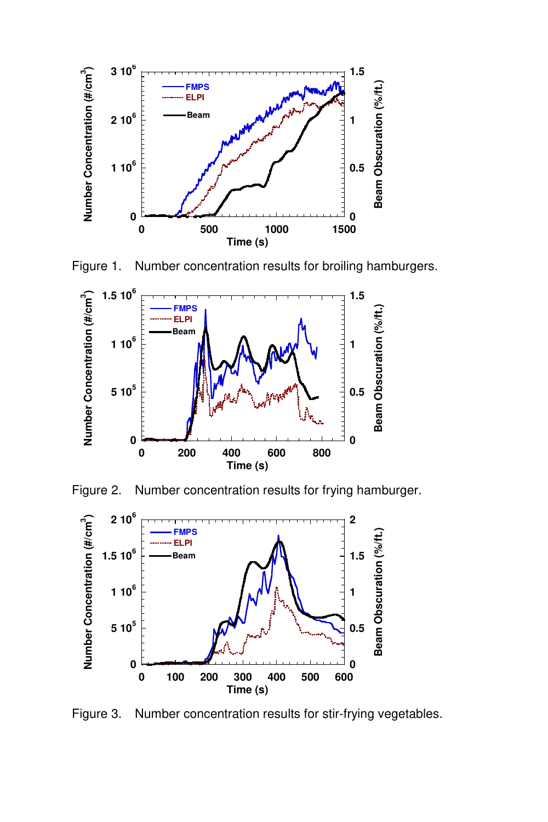

Figure 1. Number concentration results for broiling hamburgers.



Figure 2. Number concentration results for frying hamburger.



Figure 3. Number concentration results for stir-frying vegetables.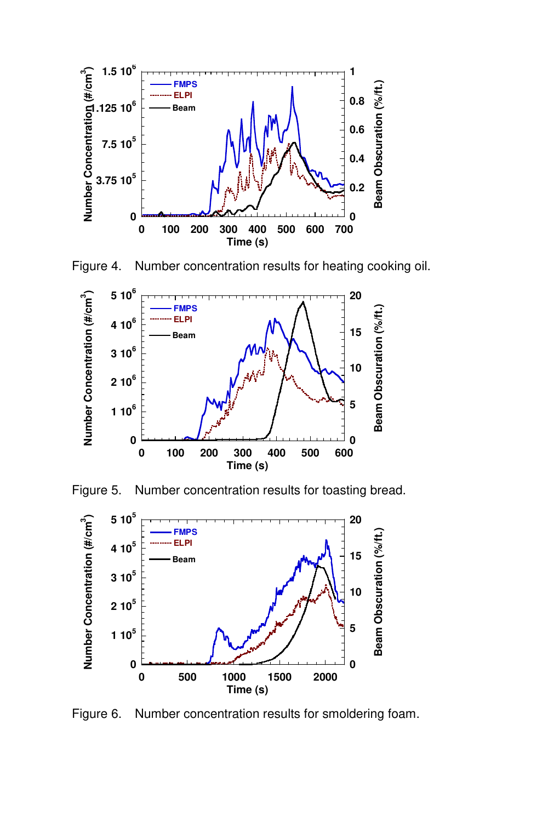

Figure 4. Number concentration results for heating cooking oil.



Figure 5. Number concentration results for toasting bread.



Figure 6. Number concentration results for smoldering foam.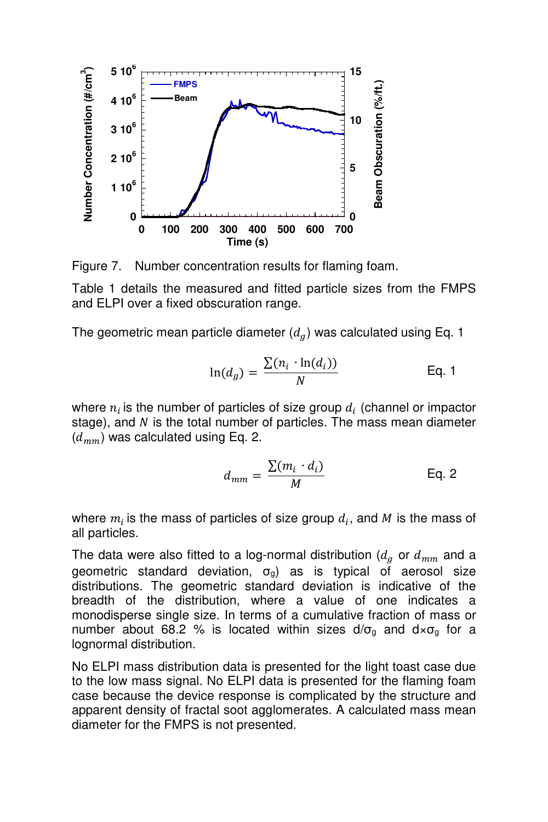

Figure 7. Number concentration results for flaming foam.

Table 1 details the measured and fitted particle sizes from the FMPS and ELPI over a fixed obscuration range.

The geometric mean particle diameter  $(d_g)$  was calculated using Eq. 1

$$
\ln(d_g) = \frac{\sum (n_i \cdot \ln(d_i))}{N} \qquad \qquad \text{Eq. 1}
$$

where  $n_i$  is the number of particles of size group  $d_i$  (channel or impactor stage), and  $N$  is the total number of particles. The mass mean diameter  $(d_{mm})$  was calculated using Eq. 2.

$$
d_{mm} = \frac{\sum (m_i \cdot d_i)}{M}
$$
 Eq. 2

where  $m_i$  is the mass of particles of size group  $d_i,$  and  $M$  is the mass of all particles.

The data were also fitted to a log-normal distribution ( $d_g$  or  $d_{mm}$  and a geometric standard deviation,  $\sigma_{q}$ ) as is typical of aerosol size distributions. The geometric standard deviation is indicative of the breadth of the distribution, where a value of one indicates a monodisperse single size. In terms of a cumulative fraction of mass or number about 68.2 % is located within sizes  $d/\sigma_g$  and  $d \times \sigma_g$  for a lognormal distribution.

No ELPI mass distribution data is presented for the light toast case due to the low mass signal. No ELPI data is presented for the flaming foam case because the device response is complicated by the structure and apparent density of fractal soot agglomerates. A calculated mass mean diameter for the FMPS is not presented.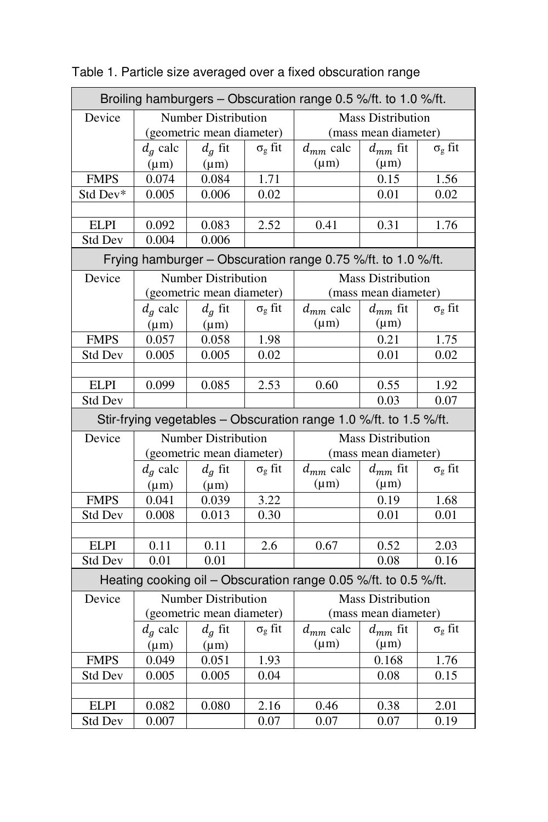| Broiling hamburgers - Obscuration range 0.5 %/ft. to 1.0 %/ft.    |                            |                            |                      |                          |              |                |  |  |  |  |
|-------------------------------------------------------------------|----------------------------|----------------------------|----------------------|--------------------------|--------------|----------------|--|--|--|--|
| Device                                                            | <b>Number Distribution</b> |                            |                      | <b>Mass Distribution</b> |              |                |  |  |  |  |
|                                                                   | (geometric mean diameter)  |                            |                      | (mass mean diameter)     |              |                |  |  |  |  |
|                                                                   | $d_a$ calc                 | $d_q$ fit                  | $\sigma_{g}$ fit     | $d_{mm}$ calc            | $d_{mm}$ fit | $\sigma_g$ fit |  |  |  |  |
|                                                                   | $(\mu m)$                  | $(\mu m)$                  |                      | $(\mu m)$                | $(\mu m)$    |                |  |  |  |  |
| <b>FMPS</b>                                                       | 0.074                      | 0.084                      | 1.71                 |                          | 0.15         | 1.56           |  |  |  |  |
| Std Dev*                                                          | 0.005                      | 0.006                      | 0.02                 |                          | 0.01         | 0.02           |  |  |  |  |
|                                                                   |                            |                            |                      |                          |              |                |  |  |  |  |
| <b>ELPI</b>                                                       | 0.092                      | 0.083                      | 2.52                 | 0.41                     | 0.31         | 1.76           |  |  |  |  |
| <b>Std Dev</b>                                                    | 0.004                      | 0.006                      |                      |                          |              |                |  |  |  |  |
| Frying hamburger - Obscuration range 0.75 %/ft. to 1.0 %/ft.      |                            |                            |                      |                          |              |                |  |  |  |  |
| Device                                                            | Number Distribution        |                            |                      | <b>Mass Distribution</b> |              |                |  |  |  |  |
|                                                                   | (geometric mean diameter)  |                            |                      | (mass mean diameter)     |              |                |  |  |  |  |
|                                                                   | $d_a$ calc                 | $d_q$ fit                  | $\sigma_g$ fit       | $d_{mm}$ calc            | $d_{mm}$ fit | $\sigma_g$ fit |  |  |  |  |
|                                                                   | $(\mu m)$                  | $(\mu m)$                  |                      | $(\mu m)$                | $(\mu m)$    |                |  |  |  |  |
| <b>FMPS</b>                                                       | 0.057                      | 0.058                      | 1.98                 |                          | 0.21         | 1.75           |  |  |  |  |
| <b>Std Dev</b>                                                    | 0.005                      | 0.005                      | 0.02                 |                          | 0.01         | 0.02           |  |  |  |  |
|                                                                   |                            |                            |                      |                          |              |                |  |  |  |  |
| <b>ELPI</b>                                                       | 0.099                      | 0.085                      | 2.53                 | 0.60                     | 0.55         | 1.92           |  |  |  |  |
| <b>Std Dev</b>                                                    |                            |                            |                      |                          | 0.03         | 0.07           |  |  |  |  |
| Stir-frying vegetables - Obscuration range 1.0 %/ft. to 1.5 %/ft. |                            |                            |                      |                          |              |                |  |  |  |  |
| Device                                                            |                            | <b>Number Distribution</b> |                      | <b>Mass Distribution</b> |              |                |  |  |  |  |
|                                                                   | (geometric mean diameter)  |                            |                      | (mass mean diameter)     |              |                |  |  |  |  |
|                                                                   | $d_q$ calc                 | $d_q$ fit                  | $\sigma_{g}$ fit     | $d_{mm}$ calc            | $d_{mm}$ fit | $\sigma_g$ fit |  |  |  |  |
|                                                                   | $(\mu m)$                  | $(\mu m)$                  |                      | $(\mu m)$                | $(\mu m)$    |                |  |  |  |  |
| <b>FMPS</b>                                                       | 0.041                      | 0.039                      | 3.22                 |                          | 0.19         | 1.68           |  |  |  |  |
| <b>Std Dev</b>                                                    | 0.008                      | 0.013                      | 0.30                 |                          | 0.01         | 0.01           |  |  |  |  |
|                                                                   |                            |                            |                      |                          |              |                |  |  |  |  |
| <b>ELPI</b>                                                       | 0.11                       | 0.11                       | 2.6                  | 0.67                     | 0.52         | 2.03           |  |  |  |  |
| <b>Std Dev</b>                                                    | 0.01                       | 0.01                       |                      |                          | 0.08         | 0.16           |  |  |  |  |
| Heating cooking oil - Obscuration range 0.05 %/ft. to 0.5 %/ft.   |                            |                            |                      |                          |              |                |  |  |  |  |
| Device                                                            | <b>Number Distribution</b> |                            |                      | <b>Mass Distribution</b> |              |                |  |  |  |  |
|                                                                   | (geometric mean diameter)  |                            |                      | (mass mean diameter)     |              |                |  |  |  |  |
|                                                                   | $d_q$ calc                 | $d_q$ fit                  | $\sigma_{\rm g}$ fit | $d_{mm}$ calc            | $d_{mm}$ fit | $\sigma_g$ fit |  |  |  |  |
|                                                                   | $(\mu m)$                  | $(\mu m)$                  |                      | $(\mu m)$                | $(\mu m)$    |                |  |  |  |  |
| <b>FMPS</b>                                                       | 0.049                      | 0.051                      | 1.93                 |                          | 0.168        | 1.76           |  |  |  |  |
| <b>Std Dev</b>                                                    | 0.005                      | 0.005                      | 0.04                 |                          | 0.08         | 0.15           |  |  |  |  |
|                                                                   |                            |                            |                      |                          |              |                |  |  |  |  |
| <b>ELPI</b>                                                       | 0.082                      | 0.080                      | 2.16                 | 0.46                     | 0.38         | 2.01           |  |  |  |  |
| <b>Std Dev</b>                                                    | 0.007                      |                            | 0.07                 | 0.07                     | 0.07         | 0.19           |  |  |  |  |

Table 1. Particle size averaged over a fixed obscuration range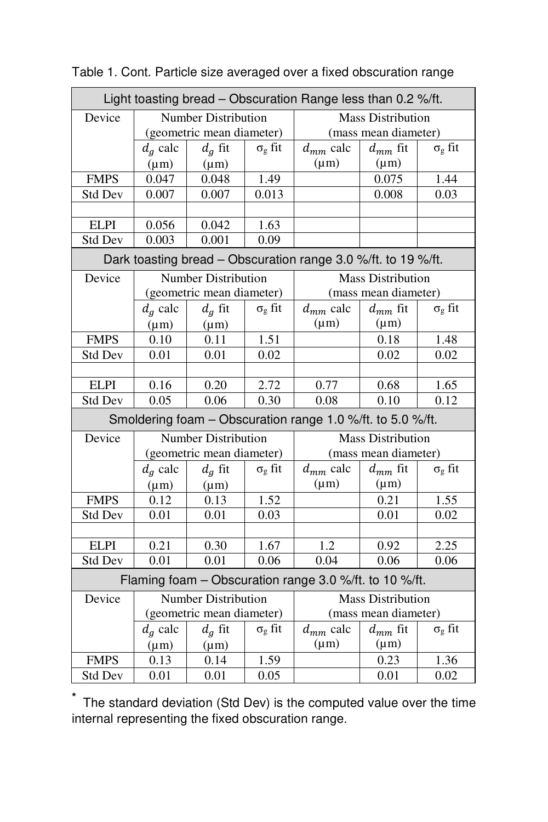| Light toasting bread - Obscuration Range less than 0.2 %/ft.  |                                                         |                            |                  |                               |                          |                      |  |  |  |
|---------------------------------------------------------------|---------------------------------------------------------|----------------------------|------------------|-------------------------------|--------------------------|----------------------|--|--|--|
| Device                                                        |                                                         |                            |                  | <b>Mass Distribution</b>      |                          |                      |  |  |  |
|                                                               | <b>Number Distribution</b><br>(geometric mean diameter) |                            |                  | (mass mean diameter)          |                          |                      |  |  |  |
|                                                               | $d_a$ calc                                              | $d_g$ fit                  | $\sigma_g$ fit   | $d_{mm}$ calc<br>$d_{mm}$ fit |                          | $\sigma_g$ fit       |  |  |  |
|                                                               | $(\mu m)$                                               | $(\mu m)$                  |                  | $(\mu m)$                     | $(\mu m)$                |                      |  |  |  |
| <b>FMPS</b>                                                   | 0.047                                                   | 0.048                      | 1.49             |                               | 0.075                    | 1.44                 |  |  |  |
| Std Dev                                                       | 0.007                                                   | 0.007                      | 0.013            |                               | 0.008                    | 0.03                 |  |  |  |
|                                                               |                                                         |                            |                  |                               |                          |                      |  |  |  |
| <b>ELPI</b>                                                   | 0.056                                                   | 0.042                      | 1.63             |                               |                          |                      |  |  |  |
| <b>Std Dev</b>                                                | 0.003                                                   | 0.001                      | 0.09             |                               |                          |                      |  |  |  |
| Dark toasting bread - Obscuration range 3.0 %/ft. to 19 %/ft. |                                                         |                            |                  |                               |                          |                      |  |  |  |
| Device                                                        | Number Distribution                                     |                            |                  | <b>Mass Distribution</b>      |                          |                      |  |  |  |
|                                                               | (geometric mean diameter)                               |                            |                  | (mass mean diameter)          |                          |                      |  |  |  |
|                                                               | $d_a$ calc                                              | $d_g$ fit                  | $\sigma_{g}$ fit | $d_{mm}$ calc                 | $d_{mm}$ fit             | $\sigma_g$ fit       |  |  |  |
|                                                               | $(\mu m)$                                               | $(\mu m)$                  |                  | $(\mu m)$                     | $(\mu m)$                |                      |  |  |  |
| <b>FMPS</b>                                                   | 0.10                                                    | 0.11                       | 1.51             |                               | 0.18                     | 1.48                 |  |  |  |
| <b>Std Dev</b>                                                | 0.01                                                    | 0.01                       | 0.02             |                               | 0.02                     | 0.02                 |  |  |  |
|                                                               |                                                         |                            |                  |                               |                          |                      |  |  |  |
| <b>ELPI</b>                                                   | 0.16                                                    | 0.20                       | 2.72             | 0.77                          | 0.68                     | 1.65                 |  |  |  |
| <b>Std Dev</b>                                                | 0.05                                                    | 0.06                       | 0.30             | 0.08                          | 0.10                     | 0.12                 |  |  |  |
| Smoldering foam - Obscuration range 1.0 %/ft. to 5.0 %/ft.    |                                                         |                            |                  |                               |                          |                      |  |  |  |
| Device                                                        |                                                         | <b>Number Distribution</b> |                  |                               | <b>Mass Distribution</b> |                      |  |  |  |
|                                                               | (geometric mean diameter)                               |                            |                  | (mass mean diameter)          |                          |                      |  |  |  |
|                                                               | $d_a$ calc                                              | $d_q$ fit                  | $\sigma_{g}$ fit | $d_{mm}$ calc                 | $d_{mm}$ fit             | $\sigma_g$ fit       |  |  |  |
|                                                               | $(\mu m)$                                               | $(\mu m)$                  |                  | $(\mu m)$                     | $(\mu m)$                |                      |  |  |  |
| <b>FMPS</b>                                                   | 0.12                                                    | 0.13                       | 1.52             |                               | 0.21                     | 1.55                 |  |  |  |
| <b>Std Dev</b>                                                | 0.01                                                    | 0.01                       | 0.03             |                               | 0.01                     | 0.02                 |  |  |  |
|                                                               |                                                         |                            |                  |                               |                          |                      |  |  |  |
| <b>ELPI</b>                                                   | 0.21                                                    | 0.30                       | 1.67             | 1.2                           | 0.92                     | 2.25                 |  |  |  |
| <b>Std Dev</b>                                                | 0.01                                                    | 0.01                       | 0.06             | 0.04                          | 0.06                     | 0.06                 |  |  |  |
| Flaming foam - Obscuration range 3.0 %/ft. to 10 %/ft.        |                                                         |                            |                  |                               |                          |                      |  |  |  |
| Device                                                        | Number Distribution                                     |                            |                  | <b>Mass Distribution</b>      |                          |                      |  |  |  |
|                                                               | (geometric mean diameter)                               |                            |                  | (mass mean diameter)          |                          |                      |  |  |  |
|                                                               | $d_a$ calc                                              | $d_g$ fit                  | $\sigma_g$ fit   | $d_{mm}$ calc                 | $d_{mm}$ fit             | $\sigma_{\rm g}$ fit |  |  |  |
|                                                               | $(\mu m)$                                               | $(\mu m)$                  |                  | $(\mu m)$                     | $(\mu m)$                |                      |  |  |  |
| <b>FMPS</b>                                                   | 0.13                                                    | 0.14                       | 1.59             |                               | 0.23                     | 1.36                 |  |  |  |
| <b>Std Dev</b>                                                | 0.01                                                    | 0.01                       | 0.05             |                               | 0.01                     | 0.02                 |  |  |  |

Table 1. Cont. Particle size averaged over a fixed obscuration range

**\*** The standard deviation (Std Dev) is the computed value over the time internal representing the fixed obscuration range.